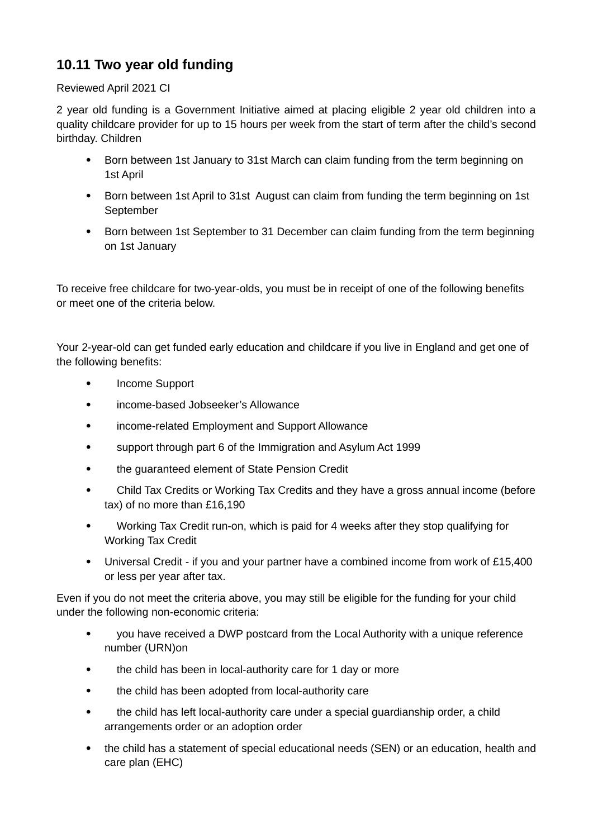## **10.11 Two year old funding**

## Reviewed April 2021 CI

2 year old funding is a Government Initiative aimed at placing eligible 2 year old children into a quality childcare provider for up to 15 hours per week from the start of term after the child's second birthday. Children

- Born between 1st January to 31st March can claim funding from the term beginning on 1st April
- Born between 1st April to 31st August can claim from funding the term beginning on 1st September
- Born between 1st September to 31 December can claim funding from the term beginning on 1st January

To receive free childcare for two-year-olds, you must be in receipt of one of the following benefits or meet one of the criteria below.

Your 2-year-old can get funded early education and childcare if you live in England and get one of the following benefits:

- Income Support
- income-based Jobseeker's Allowance
- income-related Employment and Support Allowance
- support through part 6 of the Immigration and Asylum Act 1999
- the guaranteed element of State Pension Credit
- Child Tax Credits or Working Tax Credits and they have a gross annual income (before tax) of no more than £16,190
- Working Tax Credit run-on, which is paid for 4 weeks after they stop qualifying for Working Tax Credit
- Universal Credit if you and your partner have a combined income from work of £15,400 or less per year after tax.

Even if you do not meet the criteria above, you may still be eligible for the funding for your child under the following non-economic criteria:

- you have received a DWP postcard from the Local Authority with a unique reference number (URN)on
- the child has been in local-authority care for 1 day or more
- the child has been adopted from local-authority care
- the child has left local-authority care under a special guardianship order, a child arrangements order or an adoption order
- the child has a statement of special educational needs (SEN) or an education, health and care plan (EHC)